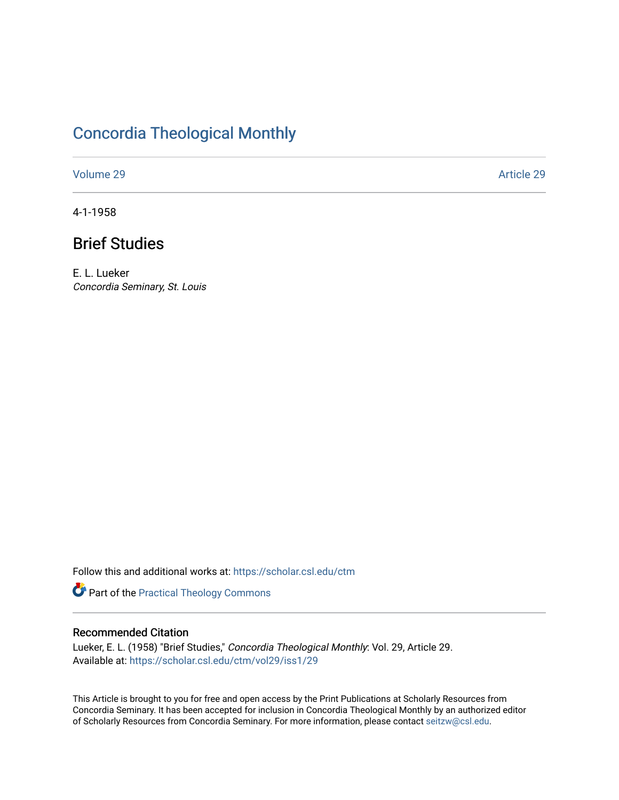# [Concordia Theological Monthly](https://scholar.csl.edu/ctm)

[Volume 29](https://scholar.csl.edu/ctm/vol29) Article 29

4-1-1958

# Brief Studies

E. L. Lueker Concordia Seminary, St. Louis

Follow this and additional works at: [https://scholar.csl.edu/ctm](https://scholar.csl.edu/ctm?utm_source=scholar.csl.edu%2Fctm%2Fvol29%2Fiss1%2F29&utm_medium=PDF&utm_campaign=PDFCoverPages)

Part of the [Practical Theology Commons](http://network.bepress.com/hgg/discipline/1186?utm_source=scholar.csl.edu%2Fctm%2Fvol29%2Fiss1%2F29&utm_medium=PDF&utm_campaign=PDFCoverPages)

## Recommended Citation

Lueker, E. L. (1958) "Brief Studies," Concordia Theological Monthly: Vol. 29, Article 29. Available at: [https://scholar.csl.edu/ctm/vol29/iss1/29](https://scholar.csl.edu/ctm/vol29/iss1/29?utm_source=scholar.csl.edu%2Fctm%2Fvol29%2Fiss1%2F29&utm_medium=PDF&utm_campaign=PDFCoverPages) 

This Article is brought to you for free and open access by the Print Publications at Scholarly Resources from Concordia Seminary. It has been accepted for inclusion in Concordia Theological Monthly by an authorized editor of Scholarly Resources from Concordia Seminary. For more information, please contact [seitzw@csl.edu](mailto:seitzw@csl.edu).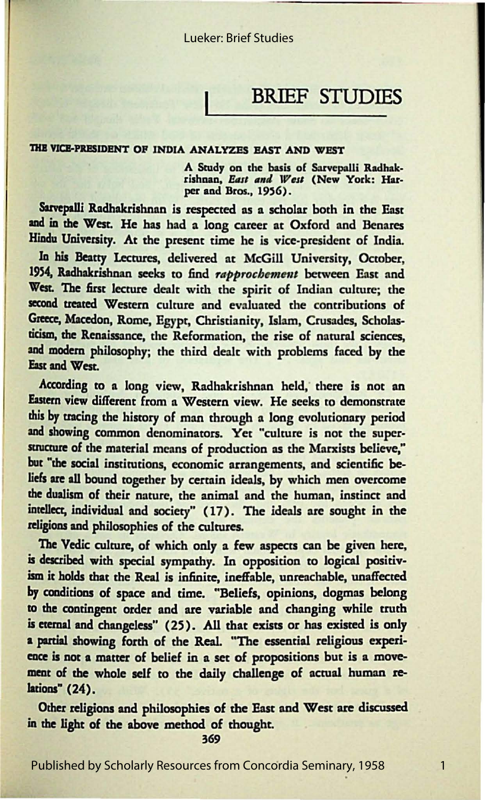# BRIEF STUDIES

#### THE VICE-PRESIDENT OF INDIA ANALYZES EAST AND WEST

A Study on the basis of Sarvepalli Radhakrishnan, *East and West* (New York: Harper and Bros., 1956).

Sarvepalli Radhakrishnan is respected as a scholar both in the East and in the West. He has had a long career at Oxford and Benares Hindu University. At the present time he is vice-president of India.

la bis Beatty Lectures, delivered at McGill University, October, 1954, Radhakrishnan seeks to find *rapprochement* between East and West. The first lecture dealt with the spirit of Indian culture; the second treated Western culture and evaluated the contributions of Greece, Macedon, Rome, Egypt, Christianity, Islam, Crusades, Scholasticism, the Renaissance, the Reformation, the rise of natural sciences, and modem philosophy; the third dealt with problems faced by the East and West.

According to a long view, Radhakrishnan held, there is not an Eastern view different from a Western view. He seeks to demonstrate this by tracing the history of man through a long evolutionary period and showing common denominators. Yet "culture is not the superstructure of the material means of production as the Marxists believe," but "the social institutions, economic arrangements, and scientific beliefs **are all** bound together by certain ideals, by which men overcome the dualism of their nature, the animal and the human, instinct and intellect, individual and society" (17). The ideals are sought in the religions and philosophies of the cultures.

The Vedic culture, of which only a few aspects can be given here, is described with special sympathy. In opposition to logical positivism it holds that the Real is infinite, ineffable, unreachable, unaffected br conditions of space and time. "Beliefs, opinions, dogmas belong to the contingent order and are variable and changing while truth is **eremal and** changeless" (25). All that exists or has existed is only a partial showing forth of the Real. "The essential religious experience is not **a matter** of belief in a set of propositions but is a movement of the whole self to the daily challenge of actual human relations" (24).

Other religions and philosophies of the East and West are discussed in the light of the above method of thought.

369

Published by Scholarly Resources from Concordia Seminary, 1958

1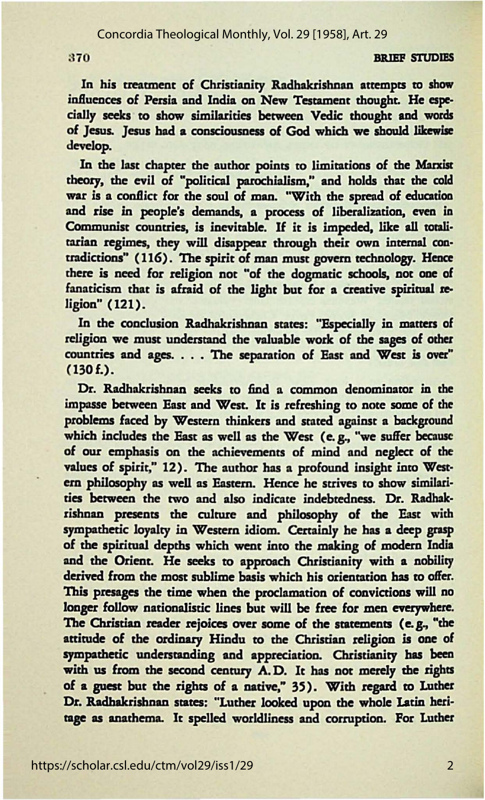### Concordia Theological Monthly, Vol. 29 [1958], Art. 29

#### 370 BRIEF STUDIES

In his treatment of Christianity Radhakrishnan attempts to show influences of Persia and India on New Testament thought. He especially seeks to show similarities between Vedic thought and words of Jesus. Jesus bad a consciousness of God which we should likewise develop.

In the last chapter the author points to limitations of the Marxist theory, the evil of "political parochialism," and holds that the cold war is a conflict for the soul of man. "With the spread of education and rise in people's demands, a process of liberalization, even in Communist countries, is inevitable. If it is impeded, like all totalitarian regimes, they will disappear through their own internal contradictions" (116). The spirit of man must govern technology. Hence there is need for religion not "of the dogmatic schools, not one of fanaticism that is afraid of the light but for a creative spiritual religion" (121).

In the conclusion Radhakrishnan states: "Especially in matters of religion we must understand the valuable work of the sages of other countries and ages. . . . The separation of East and West is over" (130f.).

Dr. Radhakrishnan seeks to find a common denominaror in the impasse between East and West. It is refreshing *to* note some of the problems faced by Western thinkers and stated against a background which includes the East as well as the West (e.g., "we suffer because of our emphasis on the achievements of mind and neglect of the values of spirit," 12). The author has a profound insight into Western philosophy as well as Eastern. Hence he strives to show similarities between the two and also indicate indebtedness. Dr. Radhakrishnan presents the culture and philosophy of the East with sympathetic loyalty in Western idiom. Certainly he has a deep grasp of the spiritual depths which went into the making of modem India and the Orient. He seeks to approach Christianity with a nobility derived from the most sublime basis which his orientation has to offer. This presages the time when the proclamation of convictions will no longer follow nationalistic lines but will be free for men everywhere. The Christian reader rejoices over some of the statements (e.g., "the attitude of the ordinary Hindu to the Christian religion is one of sympathetic understanding and appreciation. Christianity bas been with us from the second century A.D. It has not merely the rights of a guest but the rights of a native," 35). With regard to Luther Dr. Radhakrishnan states: "Luther looked upon the whole Latin heritage as anathema. It spelled worldliness and corruption. For Luther

2